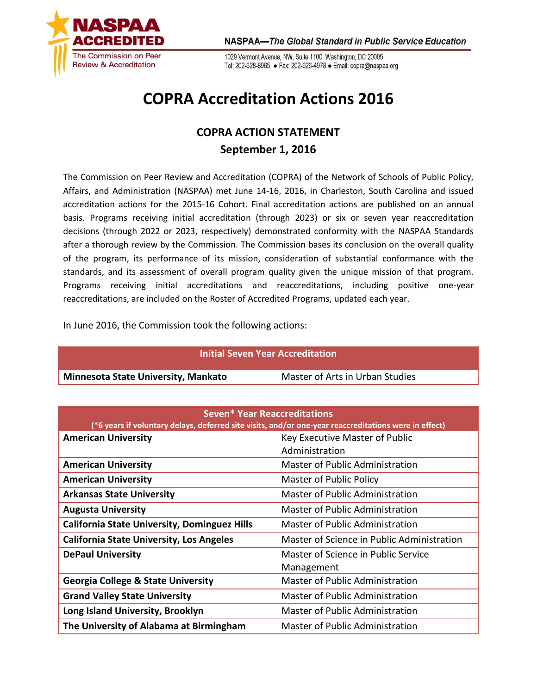

1029 Vermont Avenue, NW, Suite 1100, Washington, DC 20005 Tel: 202-628-8965 · Fax: 202-626-4978 · Email: copra@naspaa.org

## **COPRA Accreditation Actions 2016**

## **COPRA ACTION STATEMENT September 1, 2016**

The Commission on Peer Review and Accreditation (COPRA) of the Network of Schools of Public Policy, Affairs, and Administration (NASPAA) met June 14-16, 2016, in Charleston, South Carolina and issued accreditation actions for the 2015-16 Cohort. Final accreditation actions are published on an annual basis. Programs receiving initial accreditation (through 2023) or six or seven year reaccreditation decisions (through 2022 or 2023, respectively) demonstrated conformity with the NASPAA Standards after a thorough review by the Commission. The Commission bases its conclusion on the overall quality of the program, its performance of its mission, consideration of substantial conformance with the standards, and its assessment of overall program quality given the unique mission of that program. Programs receiving initial accreditations and reaccreditations, including positive one-year reaccreditations, are included on the Roster of Accredited Programs, updated each year.

In June 2016, the Commission took the following actions:

| <b>Initial Seven Year Accreditation</b>                                                               |                                            |  |  |
|-------------------------------------------------------------------------------------------------------|--------------------------------------------|--|--|
| Minnesota State University, Mankato                                                                   | Master of Arts in Urban Studies            |  |  |
|                                                                                                       |                                            |  |  |
| <b>Seven* Year Reaccreditations</b>                                                                   |                                            |  |  |
| (*6 years if voluntary delays, deferred site visits, and/or one-year reaccreditations were in effect) |                                            |  |  |
| <b>American University</b>                                                                            | Key Executive Master of Public             |  |  |
|                                                                                                       | Administration                             |  |  |
| <b>American University</b>                                                                            | Master of Public Administration            |  |  |
| <b>American University</b>                                                                            | Master of Public Policy                    |  |  |
| <b>Arkansas State University</b>                                                                      | Master of Public Administration            |  |  |
| <b>Augusta University</b>                                                                             | Master of Public Administration            |  |  |
| <b>California State University, Dominguez Hills</b>                                                   | Master of Public Administration            |  |  |
| <b>California State University, Los Angeles</b>                                                       | Master of Science in Public Administration |  |  |
| <b>DePaul University</b>                                                                              | Master of Science in Public Service        |  |  |
|                                                                                                       | Management                                 |  |  |
| <b>Georgia College &amp; State University</b>                                                         | Master of Public Administration            |  |  |
| <b>Grand Valley State University</b>                                                                  | Master of Public Administration            |  |  |
| Long Island University, Brooklyn                                                                      | Master of Public Administration            |  |  |
| The University of Alabama at Birmingham                                                               | Master of Public Administration            |  |  |